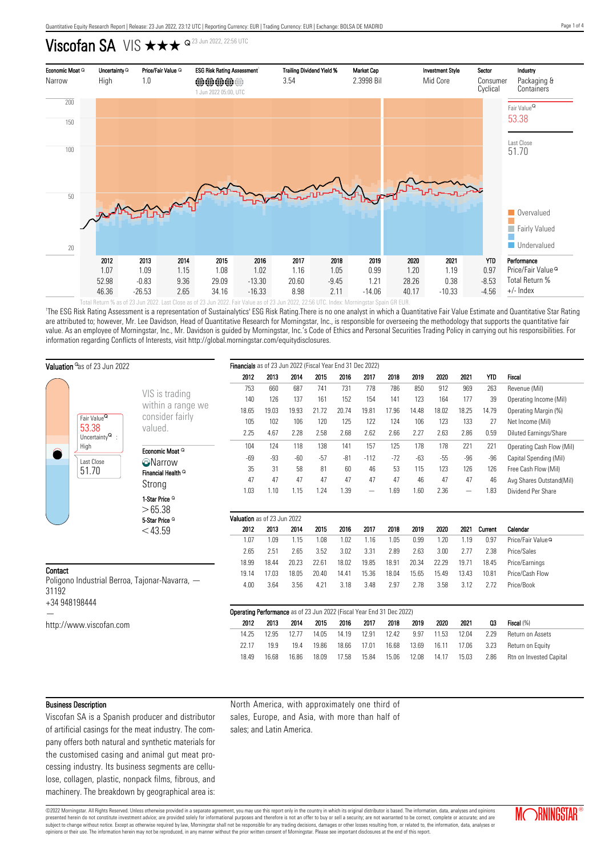# Viscofan SA VIS  $\star\star\star$   $\triangle$   $\Omega$  23 Jun 2022, 22:56 UTC



'The ESG Risk Rating Assessment is a representation of Sustainalytics' ESG Risk Rating.There is no one analyst in which a Quantitative Fair Value Estimate and Quantitative Star Rating are attributed to; however, Mr. Lee Davidson, Head of Quantitative Research for Morningstar, Inc., is responsible for overseeing the methodology that supports the quantitative fair value. As an employee of Morningstar, Inc., Mr. Davidson is guided by Morningstar, Inc.'s Code of Ethics and Personal Securities Trading Policy in carrying out his responsibilities. For information regarding Conflicts of Interests, visit http://global.morningstar.com/equitydisclosures.

| <b>Valuation</b> <sup>o</sup> as of 23 Jun 2022                                                    |                                                                  | Financials as of 23 Jun 2022 (Fiscal Year End 31 Dec 2022)                    |       |       |       |       |        |       |       |       |                   |            |                               |
|----------------------------------------------------------------------------------------------------|------------------------------------------------------------------|-------------------------------------------------------------------------------|-------|-------|-------|-------|--------|-------|-------|-------|-------------------|------------|-------------------------------|
|                                                                                                    |                                                                  | 2012                                                                          | 2013  | 2014  | 2015  | 2016  | 2017   | 2018  | 2019  | 2020  | 2021              | <b>YTD</b> | Fiscal                        |
| Fair Value <sup>Q</sup><br>53.38<br>Uncertainty $^{\mathsf{Q}}\,$ :<br>High<br>Last Close<br>51.70 |                                                                  | 753                                                                           | 660   | 687   | 741   | 731   | 778    | 786   | 850   | 912   | 969               | 263        | Revenue (Mil)                 |
|                                                                                                    | VIS is trading                                                   | 140                                                                           | 126   | 137   | 161   | 152   | 154    | 141   | 123   | 164   | 177               | 39         | Operating Income (Mil)        |
|                                                                                                    | within a range we                                                | 18.65                                                                         | 19.03 | 19.93 | 21.72 | 20.74 | 19.81  | 17.96 | 14.48 | 18.02 | 18.25             | 14.79      | Operating Margin (%)          |
|                                                                                                    | consider fairly<br>valued.<br>Economic Moat Q<br><b>O</b> Narrow | 105                                                                           | 102   | 106   | 120   | 125   | 122    | 124   | 106   | 123   | 133               | 27         | Net Income (Mil)              |
|                                                                                                    |                                                                  | 2.25                                                                          | 4.67  | 2.28  | 2.58  | 2.68  | 2.62   | 2.66  | 2.27  | 2.63  | 2.86              | 0.59       | Diluted Earnings/Share        |
|                                                                                                    |                                                                  | 104                                                                           | 124   | 118   | 138   | 141   | 157    | 125   | 178   | 178   | 221               | 221        | Operating Cash Flow (Mil)     |
|                                                                                                    |                                                                  | $-69$                                                                         | $-93$ | $-60$ | $-57$ | $-81$ | $-112$ | $-72$ | $-63$ | $-55$ | $-96$             | $-96$      | Capital Spending (Mil)        |
|                                                                                                    | Financial Health <sup>Q</sup>                                    | 35                                                                            | 31    | 58    | 81    | 60    | 46     | 53    | 115   | 123   | 126               | 126        | Free Cash Flow (Mil)          |
|                                                                                                    | Strong                                                           | 47                                                                            | 47    | 47    | 47    | 47    | 47     | 47    | 46    | 47    | 47                | 46         | Avg Shares Outstand(Mil)      |
|                                                                                                    |                                                                  | 1.03                                                                          | 1.10  | 1.15  | 1.24  | 1.39  |        | 1.69  | 1.60  | 2.36  | $\qquad \qquad -$ | 1.83       | Dividend Per Share            |
|                                                                                                    | 1-Star Price <sup>Q</sup>                                        |                                                                               |       |       |       |       |        |       |       |       |                   |            |                               |
|                                                                                                    | >65.38<br>5-Star Price <sup>Q</sup>                              | Valuation as of 23 Jun 2022                                                   |       |       |       |       |        |       |       |       |                   |            |                               |
|                                                                                                    | $<$ 43.59                                                        | 2012                                                                          | 2013  | 2014  | 2015  | 2016  | 2017   | 2018  | 2019  | 2020  | 2021              | Current    | Calendar                      |
|                                                                                                    |                                                                  | 1.07                                                                          | 1.09  | 1.15  | 1.08  | 1.02  | 1.16   | 1.05  | 0.99  | 1.20  | 1.19              | 0.97       | Price/Fair Value <sup>Q</sup> |
|                                                                                                    |                                                                  | 2.65                                                                          | 2.51  | 2.65  | 3.52  | 3.02  | 3.31   | 2.89  | 2.63  | 3.00  | 2.77              | 2.38       | Price/Sales                   |
|                                                                                                    |                                                                  | 18.99                                                                         | 18.44 | 20.23 | 22.61 | 18.02 | 19.85  | 18.91 | 20.34 | 22.29 | 19.71             | 18.45      | Price/Earnings                |
| Contact<br>Poligono Industrial Berroa, Tajonar-Navarra, -<br>31192                                 |                                                                  | 19.14                                                                         | 17.03 | 18.05 | 20.40 | 14.41 | 15.36  | 18.04 | 15.65 | 15.49 | 13.43             | 10.81      | Price/Cash Flow               |
|                                                                                                    |                                                                  | 4.00                                                                          | 3.64  | 3.56  | 4.21  | 3.18  | 3.48   | 2.97  | 2.78  | 3.58  | 3.12              | 2.72       | Price/Book                    |
| +34 948198444                                                                                      |                                                                  |                                                                               |       |       |       |       |        |       |       |       |                   |            |                               |
|                                                                                                    |                                                                  | Operating Performance as of 23 Jun 2022 (Fiscal Year End 31 Dec 2022)<br>2012 | 2013  | 2014  | 2015  | 2016  | 2017   | 2018  | 2019  | 2020  | 2021              | 03         | Fiscal (%)                    |
| http://www.viscofan.com                                                                            |                                                                  | 14.25                                                                         | 12.95 | 12.77 |       | 14.19 | 12.91  | 12.42 | 9.97  | 11.53 | 12.04             | 2.29       | Return on Assets              |
|                                                                                                    |                                                                  |                                                                               |       |       | 14.05 |       |        |       |       |       |                   |            |                               |
|                                                                                                    |                                                                  | 22.17                                                                         | 19.9  | 19.4  | 19.86 | 18.66 | 17.01  | 16.68 | 13.69 | 16.11 | 17.06             | 3.23       | Return on Equity              |

#### Business Description

Viscofan SA is a Spanish producer and distributor of artificial casings for the meat industry. The company offers both natural and synthetic materials for the customised casing and animal gut meat processing industry. Its business segments are cellulose, collagen, plastic, nonpack films, fibrous, and machinery. The breakdown by geographical area is: North America, with approximately one third of sales, Europe, and Asia, with more than half of sales; and Latin America.

18.49 16.68 16.86 18.09 17.58 15.84 15.06 12.08 14.17 15.03 2.86 Rtn on Invested Capital

©2022 Morningstar. All Rights Reserved. Unless otherwise provided in a separate agreement, you may use this report only in the country in which its original distributor is based. The information, data, analyses and opinions presented herein do not constitute investment advice; are provided solely for informational purposes and therefore is not an offer to buy or sell a security; are not warranted to be correct, complete or accurate; and are subject to change without notice. Except as otherwise required by law, Morningstar shall not be responsible for any trading decisions, damages or other losses resulting from, or related to, the information, data, analyses opinions or their use. The information herein may not be reproduced, in any manner without the prior written consent of Morningstar. Please see important disclosures at the end of this report.

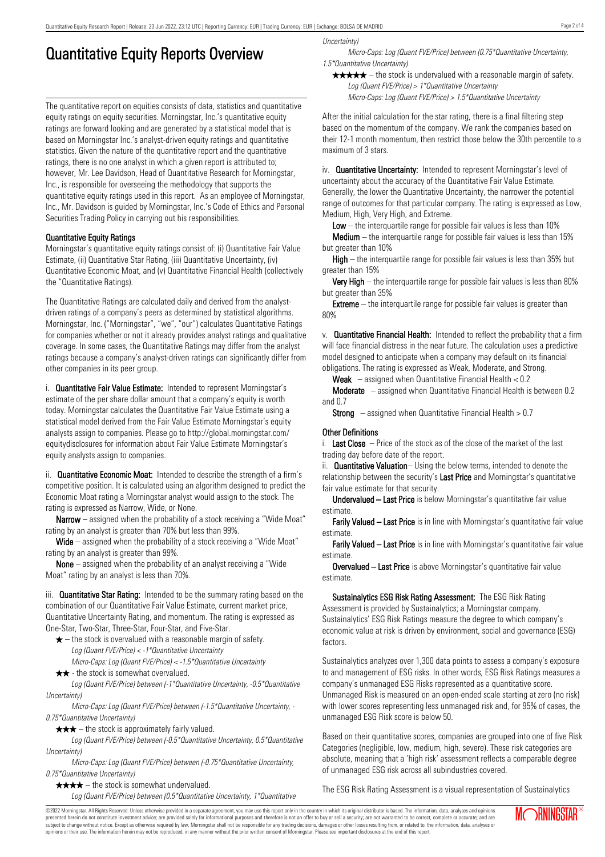# Quantitative Equity Reports Overview

The quantitative report on equities consists of data, statistics and quantitative equity ratings on equity securities. Morningstar, Inc.'s quantitative equity ratings are forward looking and are generated by a statistical model that is based on Morningstar Inc.'s analyst-driven equity ratings and quantitative statistics. Given the nature of the quantitative report and the quantitative ratings, there is no one analyst in which a given report is attributed to; however, Mr. Lee Davidson, Head of Quantitative Research for Morningstar, Inc., is responsible for overseeing the methodology that supports the quantitative equity ratings used in this report. As an employee of Morningstar, Inc., Mr. Davidson is guided by Morningstar, Inc.'s Code of Ethics and Personal Securities Trading Policy in carrying out his responsibilities.

### Quantitative Equity Ratings

Morningstar's quantitative equity ratings consist of: (i) Quantitative Fair Value Estimate, (ii) Quantitative Star Rating, (iii) Quantitative Uncertainty, (iv) Quantitative Economic Moat, and (v) Quantitative Financial Health (collectively the "Quantitative Ratings).

The Quantitative Ratings are calculated daily and derived from the analystdriven ratings of a company's peers as determined by statistical algorithms. Morningstar, Inc. ("Morningstar", "we", "our") calculates Quantitative Ratings for companies whether or not it already provides analyst ratings and qualitative coverage. In some cases, the Quantitative Ratings may differ from the analyst ratings because a company's analyst-driven ratings can significantly differ from other companies in its peer group.

i. **Quantitative Fair Value Estimate:** Intended to represent Morningstar's estimate of the per share dollar amount that a company's equity is worth today. Morningstar calculates the Quantitative Fair Value Estimate using a statistical model derived from the Fair Value Estimate Morningstar's equity analysts assign to companies. Please go to http://global.morningstar.com/ equitydisclosures for information about Fair Value Estimate Morningstar's equity analysts assign to companies.

ii. **Quantitative Economic Moat:** Intended to describe the strength of a firm's competitive position. It is calculated using an algorithm designed to predict the Economic Moat rating a Morningstar analyst would assign to the stock. The rating is expressed as Narrow, Wide, or None.

**Narrow** – assigned when the probability of a stock receiving a "Wide Moat" rating by an analyst is greater than 70% but less than 99%.

Wide – assigned when the probability of a stock receiving a "Wide Moat" rating by an analyst is greater than 99%.

None – assigned when the probability of an analyst receiving a "Wide Moat" rating by an analyst is less than 70%.

iii. **Quantitative Star Rating:** Intended to be the summary rating based on the combination of our Quantitative Fair Value Estimate, current market price, Quantitative Uncertainty Rating, and momentum. The rating is expressed as One-Star, Two-Star, Three-Star, Four-Star, and Five-Star.

- $\star$  the stock is overvalued with a reasonable margin of safety. Log (Quant FVE/Price) < -1\*Quantitative Uncertainty
- Micro-Caps: Log (Quant FVE/Price) < -1.5\*Quantitative Uncertainty  $\star \star$  - the stock is somewhat overvalued.

Log (Quant FVE/Price) between (-1\*Quantitative Uncertainty, -0.5\*Quantitative Uncertainty)

Micro-Caps: Log (Quant FVE/Price) between (-1.5\*Quantitative Uncertainty, - 0.75\*Quantitative Uncertainty)

 $\star \star \star$  – the stock is approximately fairly valued.

Log (Quant FVE/Price) between (-0.5\*Quantitative Uncertainty, 0.5\*Quantitative Uncertainty)

Micro-Caps: Log (Quant FVE/Price) between (-0.75\*Quantitative Uncertainty, 0.75\*Quantitative Uncertainty)

 $\star \star \star \star$  – the stock is somewhat undervalued.

Log (Quant FVE/Price) between (0.5\*Quantitative Uncertainty, 1\*Quantitative

Uncertainty)

Micro-Caps: Log (Quant FVE/Price) between (0.75\*Quantitative Uncertainty, 1.5\*Quantitative Uncertainty)

 $\star \star \star \star$  – the stock is undervalued with a reasonable margin of safety. Log (Quant FVE/Price) > 1\*Quantitative Uncertainty

Micro-Caps: Log (Quant FVE/Price) > 1.5\*Quantitative Uncertainty

After the initial calculation for the star rating, there is a final filtering step based on the momentum of the company. We rank the companies based on their 12-1 month momentum, then restrict those below the 30th percentile to a maximum of 3 stars.

iv. **Quantitative Uncertainty:** Intended to represent Morningstar's level of uncertainty about the accuracy of the Quantitative Fair Value Estimate. Generally, the lower the Quantitative Uncertainty, the narrower the potential range of outcomes for that particular company. The rating is expressed as Low, Medium, High, Very High, and Extreme.

**Low** – the interguartile range for possible fair values is less than  $10\%$ 

**Medium** – the interquartile range for possible fair values is less than  $15\%$ but greater than 10%

High – the interquartile range for possible fair values is less than 35% but greater than 15%

Very High – the interquartile range for possible fair values is less than 80% but greater than 35%

**Extreme** – the interquartile range for possible fair values is greater than 80%

v. Quantitative Financial Health: Intended to reflect the probability that a firm will face financial distress in the near future. The calculation uses a predictive model designed to anticipate when a company may default on its financial obligations. The rating is expressed as Weak, Moderate, and Strong.

**Weak**  $-$  assigned when Quantitative Financial Health  $< 0.2$ 

Moderate – assigned when Quantitative Financial Health is between 0.2 and 0.7

**Strong** – assigned when Quantitative Financial Health  $> 0.7$ 

#### Other Definitions

i. Last Close  $-$  Price of the stock as of the close of the market of the last trading day before date of the report.

ii. **Quantitative Valuation**– Using the below terms, intended to denote the relationship between the security's Last Price and Morningstar's quantitative fair value estimate for that security.

Undervalued – Last Price is below Morningstar's quantitative fair value estimate.

Farily Valued – Last Price is in line with Morningstar's quantitative fair value estimate.

Farily Valued – Last Price is in line with Morningstar's quantitative fair value estimate.

Overvalued – Last Price is above Morningstar's quantitative fair value estimate.

Sustainalytics ESG Risk Rating Assessment: The ESG Risk Rating Assessment is provided by Sustainalytics; a Morningstar company. Sustainalytics' ESG Risk Ratings measure the degree to which company's economic value at risk is driven by environment, social and governance (ESG) factors.

Sustainalytics analyzes over 1,300 data points to assess a company's exposure to and management of ESG risks. In other words, ESG Risk Ratings measures a company's unmanaged ESG Risks represented as a quantitative score. Unmanaged Risk is measured on an open-ended scale starting at zero (no risk) with lower scores representing less unmanaged risk and, for 95% of cases, the unmanaged ESG Risk score is below 50.

Based on their quantitative scores, companies are grouped into one of five Risk Categories (negligible, low, medium, high, severe). These risk categories are absolute, meaning that a 'high risk' assessment reflects a comparable degree of unmanaged ESG risk across all subindustries covered.

The ESG Risk Rating Assessment is a visual representation of Sustainalytics

©2022 Morningstar. All Rights Reserved. Unless otherwise provided in a separate agreement, you may use this report only in the country in which its original distributor is based. The information, data, analyses and opinions presented herein do not constitute investment advice; are provided solely for informational purposes and therefore is not an offer to buy or sell a security; are not warranted to be correct, complete or accurate; and are subject to change without notice. Except as otherwise required by law, Morningstar shall not be responsible for any trading decisions, damages or other losses resulting from, or related to, the information, data, analyses or opinions or their use. The information herein may not be reproduced, in any manner without the prior written consent of Morningstar. Please see important disclosures at the end of this report.

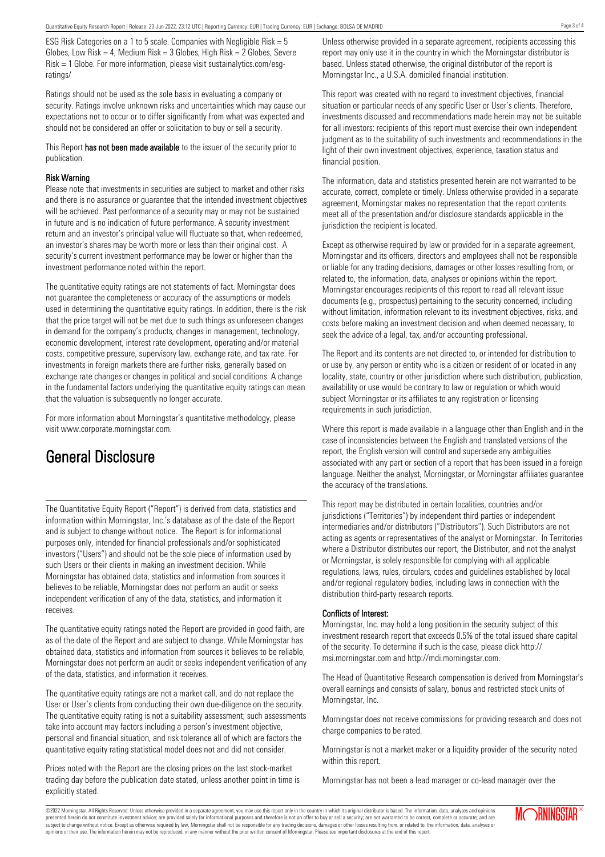ESG Risk Categories on a 1 to 5 scale. Companies with Negligible Risk = 5 Globes, Low Risk = 4, Medium Risk =  $3$  Globes, High Risk =  $2$  Globes, Severe Risk = 1 Globe. For more information, please visit sustainalytics.com/esgratings/

Ratings should not be used as the sole basis in evaluating a company or security. Ratings involve unknown risks and uncertainties which may cause our expectations not to occur or to differ significantly from what was expected and should not be considered an offer or solicitation to buy or sell a security.

This Report has not been made available to the issuer of the security prior to publication.

#### Risk Warning

Please note that investments in securities are subject to market and other risks and there is no assurance or guarantee that the intended investment objectives will be achieved. Past performance of a security may or may not be sustained in future and is no indication of future performance. A security investment return and an investor's principal value will fluctuate so that, when redeemed, an investor's shares may be worth more or less than their original cost. A security's current investment performance may be lower or higher than the investment performance noted within the report.

The quantitative equity ratings are not statements of fact. Morningstar does not guarantee the completeness or accuracy of the assumptions or models used in determining the quantitative equity ratings. In addition, there is the risk that the price target will not be met due to such things as unforeseen changes in demand for the company's products, changes in management, technology, economic development, interest rate development, operating and/or material costs, competitive pressure, supervisory law, exchange rate, and tax rate. For investments in foreign markets there are further risks, generally based on exchange rate changes or changes in political and social conditions. A change in the fundamental factors underlying the quantitative equity ratings can mean that the valuation is subsequently no longer accurate.

For more information about Morningstar's quantitative methodology, please visit www.corporate.morningstar.com.

## General Disclosure

The Quantitative Equity Report ("Report") is derived from data, statistics and information within Morningstar, Inc.'s database as of the date of the Report and is subject to change without notice. The Report is for informational purposes only, intended for financial professionals and/or sophisticated investors ("Users") and should not be the sole piece of information used by such Users or their clients in making an investment decision. While Morningstar has obtained data, statistics and information from sources it believes to be reliable, Morningstar does not perform an audit or seeks independent verification of any of the data, statistics, and information it receives.

The quantitative equity ratings noted the Report are provided in good faith, are as of the date of the Report and are subject to change. While Morningstar has obtained data, statistics and information from sources it believes to be reliable, Morningstar does not perform an audit or seeks independent verification of any of the data, statistics, and information it receives.

The quantitative equity ratings are not a market call, and do not replace the User or User's clients from conducting their own due-diligence on the security. The quantitative equity rating is not a suitability assessment; such assessments take into account may factors including a person's investment objective, personal and financial situation, and risk tolerance all of which are factors the quantitative equity rating statistical model does not and did not consider.

Prices noted with the Report are the closing prices on the last stock-market trading day before the publication date stated, unless another point in time is explicitly stated.

Unless otherwise provided in a separate agreement, recipients accessing this report may only use it in the country in which the Morningstar distributor is based. Unless stated otherwise, the original distributor of the report is Morningstar Inc., a U.S.A. domiciled financial institution.

This report was created with no regard to investment objectives, financial situation or particular needs of any specific User or User's clients. Therefore, investments discussed and recommendations made herein may not be suitable for all investors: recipients of this report must exercise their own independent judgment as to the suitability of such investments and recommendations in the light of their own investment objectives, experience, taxation status and financial position.

The information, data and statistics presented herein are not warranted to be accurate, correct, complete or timely. Unless otherwise provided in a separate agreement, Morningstar makes no representation that the report contents meet all of the presentation and/or disclosure standards applicable in the jurisdiction the recipient is located.

Except as otherwise required by law or provided for in a separate agreement, Morningstar and its officers, directors and employees shall not be responsible or liable for any trading decisions, damages or other losses resulting from, or related to, the information, data, analyses or opinions within the report. Morningstar encourages recipients of this report to read all relevant issue documents (e.g., prospectus) pertaining to the security concerned, including without limitation, information relevant to its investment objectives, risks, and costs before making an investment decision and when deemed necessary, to seek the advice of a legal, tax, and/or accounting professional.

The Report and its contents are not directed to, or intended for distribution to or use by, any person or entity who is a citizen or resident of or located in any locality, state, country or other jurisdiction where such distribution, publication, availability or use would be contrary to law or regulation or which would subject Morningstar or its affiliates to any registration or licensing requirements in such jurisdiction.

Where this report is made available in a language other than English and in the case of inconsistencies between the English and translated versions of the report, the English version will control and supersede any ambiguities associated with any part or section of a report that has been issued in a foreign language. Neither the analyst, Morningstar, or Morningstar affiliates guarantee the accuracy of the translations.

This report may be distributed in certain localities, countries and/or jurisdictions ("Territories") by independent third parties or independent intermediaries and/or distributors ("Distributors"). Such Distributors are not acting as agents or representatives of the analyst or Morningstar. In Territories where a Distributor distributes our report, the Distributor, and not the analyst or Morningstar, is solely responsible for complying with all applicable regulations, laws, rules, circulars, codes and guidelines established by local and/or regional regulatory bodies, including laws in connection with the distribution third-party research reports.

### Conflicts of Interest:

Morningstar, Inc. may hold a long position in the security subject of this investment research report that exceeds 0.5% of the total issued share capital of the security. To determine if such is the case, please click http:// msi.morningstar.com and http://mdi.morningstar.com.

The Head of Quantitative Research compensation is derived from Morningstar's overall earnings and consists of salary, bonus and restricted stock units of Morningstar, Inc.

Morningstar does not receive commissions for providing research and does not charge companies to be rated.

Morningstar is not a market maker or a liquidity provider of the security noted within this report.

Morningstar has not been a lead manager or co-lead manager over the